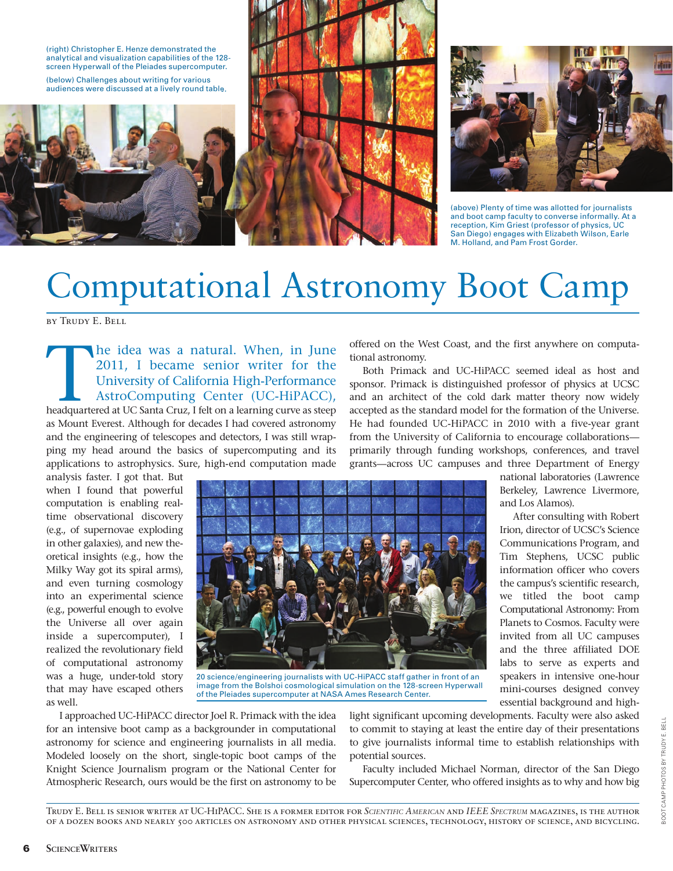

audiences were discussed at a lively round table.





(above) Plenty of time was allotted for journalists and boot camp faculty to converse informally. At a reception, Kim Griest (professor of physics, UC San Diego) engages with Elizabeth Wilson, Earle M. Holland, and Pam Frost Gorder.

# Computational Astronomy Boot Camp

by Trudy E. Bell

The idea was a natural. When, in June 2011, I became senior writer for the University of California High-Performance AstroComputing Center (UC-HiPACC), headquartered at UC Santa Cruz, I felt on a learning curve as steep 2011, I became senior writer for the University of California High-Performance AstroComputing Center (UC-HiPACC), as Mount Everest. Although for decades I had covered astronomy and the engineering of telescopes and detectors, I was still wrapping my head around the basics of supercomputing and its applications to astrophysics. Sure, high-end computation made

analysis faster. I got that. But when I found that powerful computation is enabling realtime observational discovery (e.g., of supernovae exploding in other galaxies), and new theoretical insights (e.g., how the Milky Way got its spiral arms), and even turning cosmology into an experimental science (e.g., powerful enough to evolve the Universe all over again inside a supercomputer), I realized the revolutionary field of computational astronomy was a huge, under-told story that may have escaped others as well.



20 science/engineering journalists with UC-HiPACC staff gather in front of an image from the Bolshoi cosmological simulation on the 128-screen Hyperwall of the Pleiades supercomputer at NASA Ames Research Center.

I approached UC-HiPACC director Joel R. Primack with the idea for an intensive boot camp as a backgrounder in computational astronomy for science and engineering journalists in all media. Modeled loosely on the short, single-topic boot camps of the Knight Science Journalism program or the National Center for Atmospheric Research, ours would be the first on astronomy to be

light significant upcoming developments. Faculty were also asked to commit to staying at least the entire day of their presentations to give journalists informal time to establish relationships with potential sources.

Faculty included Michael Norman, director of the San Diego Supercomputer Center, who offered insights as to why and how big

offered on the West Coast, and the first anywhere on computational astronomy.

Both Primack and UC-HiPACC seemed ideal as host and sponsor. Primack is distinguished professor of physics at UCSC and an architect of the cold dark matter theory now widely accepted as the standard model for the formation of the Universe. He had founded UC-HiPACC in 2010 with a five-year grant from the University of California to encourage collaborations primarily through funding workshops, conferences, and travel grants—across UC campuses and three Department of Energy

national laboratories (Lawrence Berkeley, Lawrence Livermore, and Los Alamos).

After consulting with Robert Irion, director of UCSC's Science Communications Program, and Tim Stephens, UCSC public information officer who covers the campus's scientific research, we titled the boot camp Computational Astronomy: From Planets to Cosmos. Faculty were invited from all UC campuses and the three affiliated DOE labs to serve as experts and speakers in intensive one-hour mini-courses designed convey essential background and high-

> BOOT CAMP PHOTOS BY TRUDY E. BELL BOOT CAMP PHOTOS BY TRUDY E. BELL

Trudy E. Bell is senior writer at UC-HiPACC. She is a former editor for *SCIENTIFIC AMERICAN* and *IEEE SPECTRUM* magazines, is the author of a dozen books and nearly 500 articles on astronomy and other physical sciences, technology, history of science, and bicycling.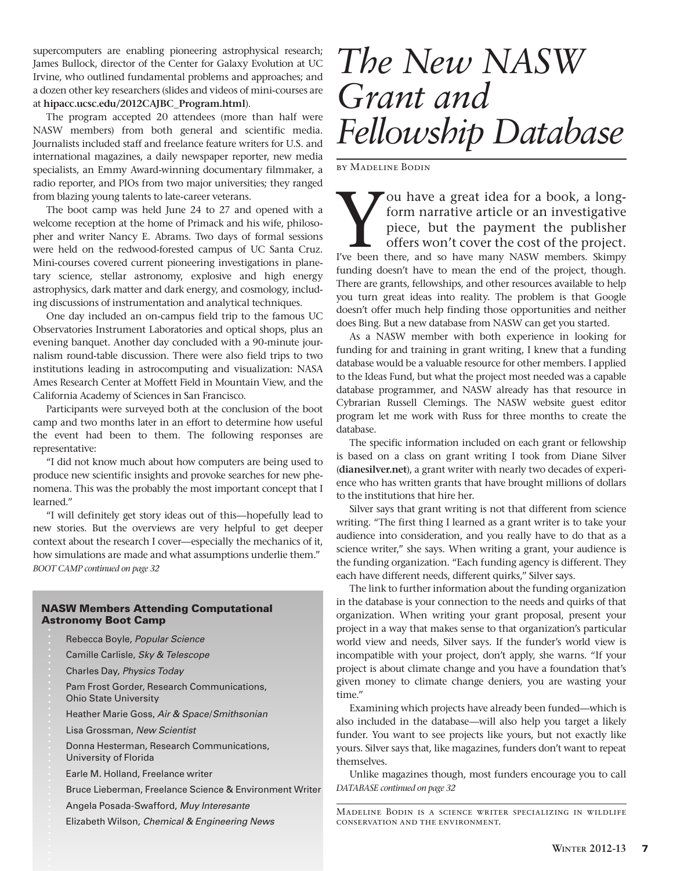supercomputers are enabling pioneering astrophysical research; James Bullock, director of the Center for Galaxy Evolution at UC Irvine, who outlined fundamental problems and approaches; and a dozen other key researchers (slides and videos of mini-courses are at **hipacc.ucsc.edu/2012CAJBC\_Program.html**).

The program accepted 20 attendees (more than half were NASW members) from both general and scientific media. Journalists included staff and freelance feature writers for U.S. and international magazines, a daily newspaper reporter, new media specialists, an Emmy Award-winning documentary filmmaker, a radio reporter, and PIOs from two major universities; they ranged from blazing young talents to late-career veterans.

The boot camp was held June 24 to 27 and opened with a welcome reception at the home of Primack and his wife, philosopher and writer Nancy E. Abrams. Two days of formal sessions were held on the redwood-forested campus of UC Santa Cruz. Mini-courses covered current pioneering investigations in planetary science, stellar astronomy, explosive and high energy astrophysics, dark matter and dark energy, and cosmology, including discussions of instrumentation and analytical techniques.

One day included an on-campus field trip to the famous UC Observatories Instrument Laboratories and optical shops, plus an evening banquet. Another day concluded with a 90-minute journalism round-table discussion. There were also field trips to two institutions leading in astrocomputing and visualization: NASA Ames Research Center at Moffett Field in Mountain View, and the California Academy of Sciences in San Francisco.

Participants were surveyed both at the conclusion of the boot camp and two months later in an effort to determine how useful the event had been to them. The following responses are representative:

"I did not know much about how computers are being used to produce new scientific insights and provoke searches for new phenomena. This was the probably the most important concept that I learned."

"I will definitely get story ideas out of this—hopefully lead to new stories. But the overviews are very helpful to get deeper context about the research I cover—especially the mechanics of it, how simulations are made and what assumptions underlie them." *BOOT CAMP continued on page 32*

#### NASW Members Attending Computational Astronomy Boot Camp

- Rebecca Boyle, Popular Science
- Camille Carlisle, Sky & Telescope
- Charles Day, Physics Today
- Pam Frost Gorder, Research Communications,
- Ohio State University
- Heather Marie Goss, Air & Space/Smithsonian
- Lisa Grossman, New Scientist
- Donna Hesterman, Research Communications, University of Florida
- Earle M. Holland, Freelance writer
- Bruce Lieberman, Freelance Science & Environment Writer
- Angela Posada-Swafford, Muy Interesante
- Elizabeth Wilson, Chemical & Engineering News

## *The New NASW Grant and Fellowship Database*

by Madeline Bodin

You have a great idea for a book, a long-<br>form narrative article or an investigative<br>piece, but the payment the publisher<br>offers won't cover the cost of the project.<br>I've been there, and so have many NASW members. Skimpy form narrative article or an investigative piece, but the payment the publisher offers won't cover the cost of the project. I've been there, and so have many NASW members. Skimpy funding doesn't have to mean the end of the project, though. There are grants, fellowships, and other resources available to help you turn great ideas into reality. The problem is that Google doesn't offer much help finding those opportunities and neither does Bing. But a new database from NASW can get you started.

As a NASW member with both experience in looking for funding for and training in grant writing, I knew that a funding database would be a valuable resource for other members. I applied to the Ideas Fund, but what the project most needed was a capable database programmer, and NASW already has that resource in Cybrarian Russell Clemings. The NASW website guest editor program let me work with Russ for three months to create the database.

The specific information included on each grant or fellowship is based on a class on grant writing I took from Diane Silver (**dianesilver.net**), a grant writer with nearly two decades of experience who has written grants that have brought millions of dollars to the institutions that hire her.

Silver says that grant writing is not that different from science writing. "The first thing I learned as a grant writer is to take your audience into consideration, and you really have to do that as a science writer," she says. When writing a grant, your audience is the funding organization. "Each funding agency is different. They each have different needs, different quirks," Silver says.

The link to further information about the funding organization in the database is your connection to the needs and quirks of that organization. When writing your grant proposal, present your project in a way that makes sense to that organization's particular world view and needs, Silver says. If the funder's world view is incompatible with your project, don't apply, she warns. "If your project is about climate change and you have a foundation that's given money to climate change deniers, you are wasting your time."

Examining which projects have already been funded—which is also included in the database—will also help you target a likely funder. You want to see projects like yours, but not exactly like yours. Silver says that, like magazines, funders don't want to repeat themselves.

Unlike magazines though, most funders encourage you to call *DATABASE continued on page 32*

Madeline Bodin is a science writer specializing in wildlife conservation and the environment.